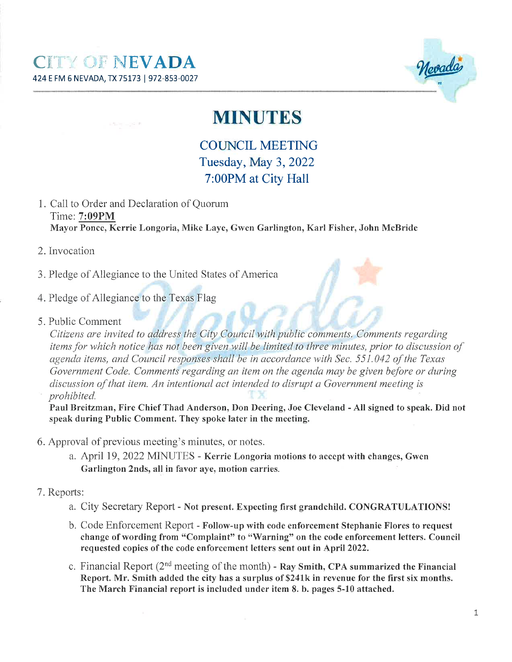$350 - 162$ 



## **MINUTES**

COLTNCIL MEETING Tuesday, May 3,2022 7:00PM at City Hall

- 1. Call to Order and Declaration of Quorum Tirne: 7:09PM Mayor Ponce, Kerrie Longoria, Mike Laye, Gwen Garlington, Karl Fisher, John McBride
- 2. Invocation
- 3. Pledge of Allegiance to the United States of America
- 4. Pledge of Allegiance to the Texas Flag
- 5. Public Comment

Citizens are invited to address the City Council with public comments. Comments regarding items for which notice has not been given will be limited to three minutes, prior to discussion of agenda items, and Council responses shall be in accordance with Sec. 551.042 of the Texas Government Code. Comments regarding an item on the agenda may be given before or during discussion of that item. An intentional act intended to disrupt a Government meeting is prohibited.

Paul Breitzman, Fire Chief Thad Anderson, Don Deering, Joe Cleveland - All signed to speak. Did not speak during Public Comment. They spoke later in the meeting.

- 6. Approval of previous meeting's minutes, or notes.
	- a. April 19, 2022 MINUTES Kerrie Longoria motions to accept with changes, Gwen Garlington 2nds, all in favor aye, motion carries.
- 7. Reports:
	- a. City Secretary Report Not present. Expecting fïrst grandchild. CONGRATULATIONS!
	- b. Code Enforcement Report Follow-up with code enforcement Stephanie Flores to request change of wording from "Complaint" to "Warning" on the code enforcement letters. Council requested copies of the code enforcement letters sent out in April2022.
	- c. Financial Report  $(2^{nd}$  meeting of the month) Ray Smith, CPA summarized the Financial Report. Mr. Smith added the city has a surplus of S241k in revenue for the first six months. The March Financial report is included under item 8. b. pages 5-10 attached.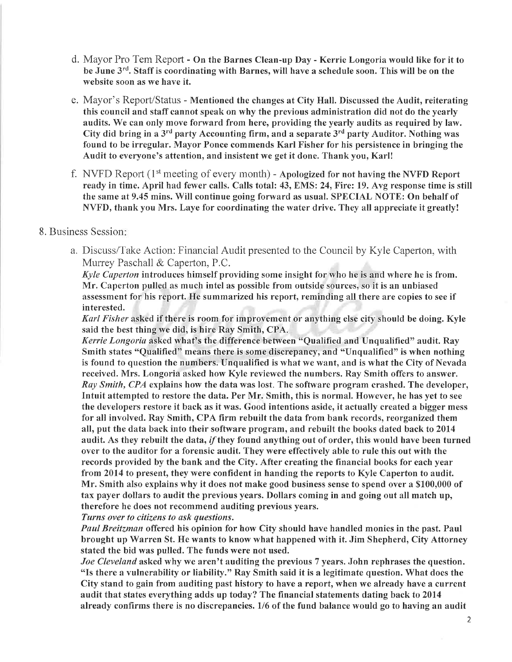- d. Mayor Pro Tem Report On the Barnes Clean-up Day Kerrie Longoria would like for it to be June 3<sup>rd</sup>. Staff is coordinating with Barnes, will have a schedule soon. This will be on the website soon as we have it.
- e. Mayor's Report/Status Mentioned the changes at City Hall. Discussed the Audit, reiterating this council and staff cannot speak on rvhy the previous administration did not do the yearly audits. We can only move forward from here, providing the yearly audits as required by law. City did bring in a  $3^{rd}$  party Accounting firm, and a separate  $3^{rd}$  party Auditor. Nothing was found to be irregular. Mayor Ponce commends Karl Fisher for his persistence in bringing the Audit to everyone's attention, and insistent we get it done. Thank you, Karl!
- f. NVFD Report  $(1<sup>st</sup> meeting of every month)$  Apologized for not having the NVFD Report ready in time. April had fewer calls. Calls total: 43, EMS: 24, Fire: 19. Avg response time is still the same at9.45 mins. Will continue going forward as usual. SPECIAL NOTE: On behalf of NVFD, thank you Mrs. Laye for coordinating the water drive. They all appreciate it greatly!

#### 8. Business Session:

a. Discuss/Take Action: Financial Audit presented to the Council by Kyle Caperton, with Murrey Paschall & Caperton, P.C.

Kyle Caperton introduces himself providing some insight for who he is and where he is from. Mr. Caperton pulled as much intel as possible from outside sources, so it is an unbiased assessment for his report. He summarized his report, reminding all there are copies to see if interested.

Karl Fisher asked if there is room for improvement or anything else city should be doing. Kyle said the best thing we did, is hire Ray Smith, CPA.

Kerrie Longoria asked what's the difference between "Qualified and Unqualified" audit. Ray Smith states "Qualified" means there is some discrepancy, and "Unqualified" is when nothing is found to question the numbers. Unqualified is what we want, and is what the City of Nevada received. Mrs. Longoria asked how Kyle reviewed the numbers. Ray Smith offers to answer. Ray Smith, CPA explains how the data was lost. The software program crashed. The developer, Intuit attempted to restore the data. Per Mr. Smith, this is normal. However, he has yet to see the clevelopers restore it back as it was. Good intentions aside, it actually created a bigger mess for all involved. Ray Smith, CPA firm rebuilt the data from bank records, reorganized them all, put the data back into their software program, and rebuilt the books dated back to 2014 audit. As they rebuilt the data, if they found anything out of order, this would have been turned over to the auditor for a forensic audit. They were effectively able to rule this out with the records provided by the bank and the City. After creating the financial books for each year from 2014 to present, they were confident in handing the reports to Kyle Caperton to audit. Mr. Smith also explains why it does not make good business sense to spend over a \$100,000 of tax payer dollars to audit the previous years. Dollars coming in and going out all match up, therefore he does not recommend auditing previous years.

Turns over to citizens to ask questions.

Paul Breitzman offered his opinion for how City should have handled monies in the past. Paul brought up Warren St. He wants to know what happened with it. Jim Shepherd, City Attorney stated the bid was pulled. The funds were not used.

Joe Cleveland asked why we aren't auditing the previous 7 years. John rephrases the question. "Is there a vulnerability or liability." Ray Smith said it is a legitimate question. What does the City stand to gain from auditing past history to have a report, when we already have a current audit that states everything adds up today? The financial statements dating back to 2014 already confirms there is no discrepancies. 1/6 of the fund balance would go to having an audit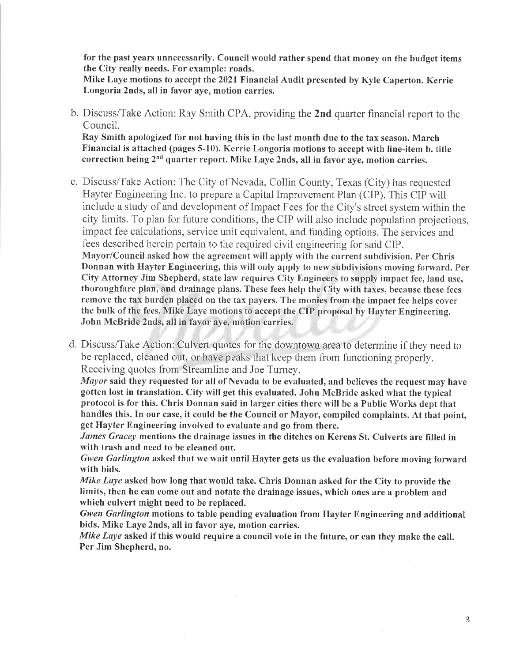for the past years unnecessarily. Council would rather spend that money on the budget items the City really needs. For example: roads.

Mike Laye motions to accept the 2021 Financial Audit presented by Kyle Caperton. Kerrie Longoria 2nds, all in favor aye, motion carries.

b. Discuss/Take Action: Ray Smith CPA, providing the 2nd quarter financial report to the Council.

Ray Smith apologized for not having this in the last month due to the tax season. March Financial is attached (pages 5-10). Kerrie Longoria motions to accept with line-item b. title correction being 2<sup>nd</sup> quarter report. Mike Laye 2nds, all in favor aye, motion carries.

- c. Discuss/Take Action: The City of Nevada, Collin County, Texas (City) has requested Hayter Engineering Inc. to prepare a Capital Improvement Plan (CIP). This CIP will include a study of and development of Impact Fees for the City's street system within the city limits. To plan for future conditions, the CIP will also include population projections, impact fee calculations, service unit equivalent, and funding options. The services and fees described herein pertain to the required civil engineering for said CIP. Mayor/Council asked how the agreement will apply with the current subdivision. Per Chris Donnan with Hayter Engineering, this will only apply to new subdivisions moving forward. Per City Attorney Jim Shepherd, state law requires City Engineers to supply impact fee, land use, thoroughfare plan, and drainage plans. These fees help the City with taxes, because these fees remove the tax burden placed on the tax payers. The monies from the impact fee helps cover the bulk of the fees. Mike Laye motions to accept the CIP proposal by Hayter Engineering. John McBride 2nds, all in favor aye, motion carries.
- d. Discuss/Take Action: Culvert quotes for the downtown area to determine if they need to be replaced, cleaned out, or have peaks that keep them from functioning properly. Receiving quotes from Streamline and Joe Turney.

Mayor said they requested for all of Nevada to be evaluated, and believes the request may have gotten lost in translation. City will get this evaluated. John McBride asked what the typical protocol is for this. Chris Donnan said in larger cities there will be a Public Works dept that handles this. In our case, it could be the Council or Mayor, compiled complaints. At that point, get Hayter Engineering involved to evaluate and go from there.

James Gracey mentions the drainage issues in the ditches on Kerens St. Culverts are filled in with trash and need to be cleaned out.

Gwen Garlington asked that we wait until Hayter gets us the evaluation before moving forward with bids.

Mike Laye asked how long that would take. Chris Donnan asked for the City to provide the limits, then he can come out and notate the drainage issues, which ones are a problem and which culvert might need to be replaced.

Gwen Garlington motions to table pending evaluation from Hayter Engineering and additional bids. Mike Laye 2nds, all in favor aye, motion carries.

Mike Laye asked if this would require a council vote in the future, or can they make the call. Per Jim Shepherd, no.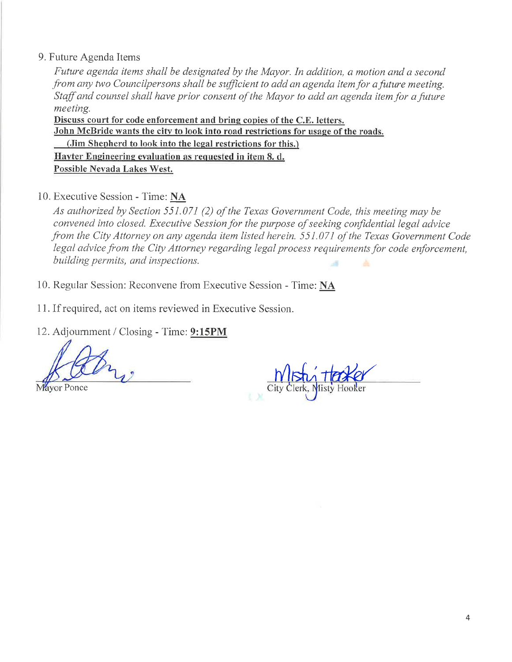#### 9. Future Agenda Items

Future agenda items shall be designated by the Mayor. In addition, a motion and a second from any two Councilpersons shall be sufficient to add an agenda item for a future meeting. Staff and counsel shall have prior consent of the Mayor to add an agenda item for a future meeting.

Discuss court for code enforcement and bring copies of the C.E. letters. John McBride wants the city to look into road restrictions for usage of the roads. (Jim Shepherd to look into the legal restrictions for this.) Hayter Engineering evaluation as requested in item 8. d. Possible Nevada Lakes West.

10. Executive Session - Time: NA

As authorized by Section 551.071 (2) of the Texas Government Code, this meeting may be convened into closed. Executive Session for the purpose of seeking confidential legal advice from the City Attorney on any agenda item listed herein. 551.071 of the Texas Government Code legal advice from the City Attorney regarding legal process requirements for code enforcement, building permits, and inspections. à.

- 10. Regular Session: Reconvene from Executive Session Time: NA
- 11. If required, act on items reviewed in Executive Session.
- 12. Adjournment / Closing Time: 9:15PM

Mayor Ponce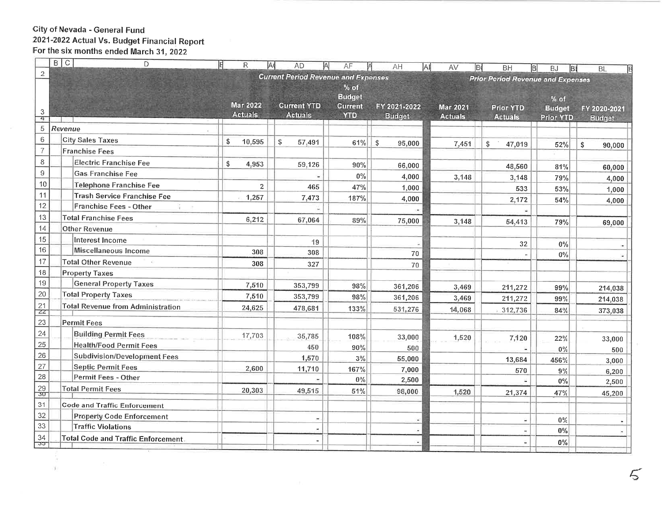#### City of Nevada - General Fund 2021-2022 Actual Vs. Budget Financial Report<br>For the six months ended March 31, 2022  $\Box$

<u> Territorian espera</u>

 $\sim$ 

U)

|                 | $B \mid C$<br>D<br>旧                       | R               | IΑ<br><b>AD</b><br>ΙA                      | AF                                        | AH<br>ΙAΙ     | AV<br>B         | <b>BH</b><br>B                           | <b>BJ</b><br>B        | <b>BL</b>                     |
|-----------------|--------------------------------------------|-----------------|--------------------------------------------|-------------------------------------------|---------------|-----------------|------------------------------------------|-----------------------|-------------------------------|
| $\sqrt{2}$      |                                            |                 | <b>Current Period Revenue and Expenses</b> |                                           |               |                 | <b>Prior Period Revenue and Expenses</b> |                       |                               |
|                 |                                            | <b>Mar 2022</b> | <b>Current YTD</b>                         | $%$ of<br><b>Budget</b><br><b>Current</b> | FY 2021-2022  | <b>Mar 2021</b> | <b>Prior YTD</b>                         | % of<br><b>Budget</b> |                               |
| 3<br>4          |                                            | <b>Actuals</b>  | <b>Actuals</b>                             | <b>YTD</b>                                | <b>Budget</b> | <b>Actuals</b>  | <b>Actuals</b>                           | Prior YTD             | FY 2020-2021<br><b>Budget</b> |
| 5               | Revenue                                    |                 |                                            |                                           |               |                 |                                          |                       |                               |
| $\,6$           | <b>City Sales Taxes</b>                    | \$<br>10,595    |                                            |                                           |               |                 |                                          |                       |                               |
| $\overline{7}$  | <b>Franchise Fees</b>                      |                 | \$<br>57,491                               | 61%                                       | \$<br>95,000  | 7,451           | \$<br>47,019                             | 52%                   | \$<br>90,000                  |
| $\bf 8$         | Electric Franchise Fee                     | \$<br>4,953     |                                            |                                           |               |                 |                                          |                       |                               |
| $\mathsf g$     | <b>Gas Franchise Fee</b>                   |                 | 59,126                                     | 90%                                       | 66,000        |                 | 48,560                                   | 81%                   | 60,000                        |
| 10              | <b>Telephone Franchise Fee</b>             | $\overline{c}$  |                                            | $0\%$                                     | 4,000         | 3,148           | 3,148                                    | 79%                   | 4,000                         |
| 11              | Trash Service Franchise Fee                | 1,257           | 465                                        | 47%                                       | 1,000         |                 | 533                                      | 53%                   | 1,000                         |
| 12              | Franchise Fees - Other                     |                 | 7,473                                      | 187%                                      | 4,000         |                 | 2,172                                    | 54%                   | 4,000                         |
| 13              | <b>Total Franchise Fees</b>                | 6,212           |                                            |                                           |               |                 |                                          |                       |                               |
| 14              | <b>Other Revenue</b>                       |                 | 67,064                                     | 89%                                       | 75,000        | 3,148           | 54,413                                   | 79%                   | 69,000                        |
| 15              | Interest Income                            |                 | 19                                         |                                           |               |                 |                                          |                       |                               |
| 16              | Miscellaneous Income                       | 308             | 308                                        |                                           | 70            |                 | 32                                       | $0\%$                 |                               |
| 17              | <b>Total Other Revenue</b>                 | 308             | 327                                        |                                           |               |                 |                                          | $0\%$                 |                               |
| $18\,$          | <b>Property Taxes</b>                      |                 |                                            |                                           | 70            |                 |                                          |                       |                               |
| 19              | <b>General Property Taxes</b>              | 7,510           | 353,799                                    | 98%                                       | 361,206       |                 |                                          |                       |                               |
| 20              | <b>Total Property Taxes</b>                | 7,510           | 353,799                                    | 98%                                       | 361,206       | 3,469<br>3,469  | 211,272                                  | 99%                   | 214,038                       |
| 21              | <b>Total Revenue from Administration</b>   | 24,625          | 478,681                                    | 133%                                      |               |                 | 211,272                                  | 99%                   | 214,038                       |
| $Z\overline{Z}$ |                                            |                 |                                            |                                           | 531,276       | 14,068          | 312,736                                  | 84%                   | 373,038                       |
| 23              | Permit Fees                                |                 |                                            |                                           |               |                 |                                          |                       |                               |
| 24              | <b>Building Permit Fees</b>                | 17,703          | 35,785                                     | 108%                                      | 33,000        | 1,520           | 7,120                                    | 22%                   | 33,000                        |
| 25              | <b>Health/Food Permit Fees</b>             |                 | 450                                        | 90%                                       | 500           |                 |                                          | $0\%$                 | 500                           |
| 26              | Subdivision/Development Fees               |                 | 1,570                                      | $3\%$                                     | 55,000        |                 | 13,684                                   | 456%                  | 3,000                         |
| 27              | Septic Permit Fees                         | 2,600           | 11,710                                     | 167%                                      | 7,000         |                 | 570                                      | 9%                    | 6,200                         |
| 28              | Permit Fees - Other                        |                 |                                            | $0\%$                                     | 2,500         |                 |                                          | $0\%$                 | 2,500                         |
| 29<br>30        | <b>Total Permit Fees</b>                   | 20,303          | 49,515                                     | 51%                                       | 98,000        | 1,520           | 21,374                                   | 47%                   | 45,200                        |
| 31              | Code and Traffic Enforcement               |                 |                                            |                                           |               |                 |                                          |                       |                               |
| 32              | <b>Property Code Enforcement</b>           |                 |                                            |                                           |               |                 |                                          | $0\%$                 |                               |
| 33              | <b>Traffic Violations</b>                  |                 |                                            |                                           |               |                 |                                          | $0\%$                 |                               |
| 34              | <b>Total Code and Traffic Enforcement.</b> |                 |                                            |                                           |               |                 | ü                                        |                       |                               |
| ುರ್             |                                            |                 |                                            |                                           |               |                 |                                          | $0\%$                 |                               |
|                 |                                            |                 |                                            |                                           |               |                 |                                          |                       |                               |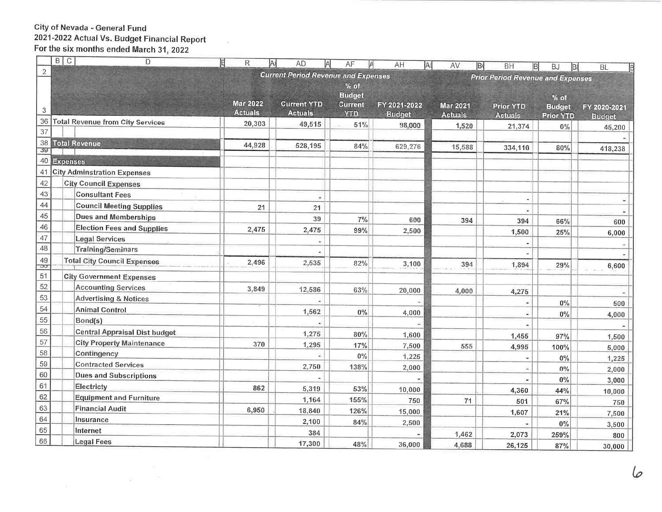#### City of Nevada - General Fund 2021-2022 Actual Vs. Budget Financial Report<br>For the six months ended March 31, 2022  $\Box$

|                                                                                                          | B C             | D                                         | E<br>R                            | Α<br><b>AD</b><br>A | AF<br>Α       | AH            | ΑI<br>AV<br>B   | <b>BH</b>        | B<br>$\overline{BJ}$<br>BI | BL<br>E       |  |  |
|----------------------------------------------------------------------------------------------------------|-----------------|-------------------------------------------|-----------------------------------|---------------------|---------------|---------------|-----------------|------------------|----------------------------|---------------|--|--|
| $\overline{2}$<br><b>Current Period Revenue and Expenses</b><br><b>Prior Period Revenue and Expenses</b> |                 |                                           |                                   |                     |               |               |                 |                  |                            |               |  |  |
|                                                                                                          |                 |                                           |                                   |                     | $%$ of        |               |                 |                  |                            |               |  |  |
|                                                                                                          |                 |                                           |                                   |                     | <b>Budget</b> |               |                 |                  | % of                       |               |  |  |
| 3                                                                                                        |                 |                                           | <b>Mar 2022</b><br><b>Actuals</b> | <b>Current YTD</b>  | Current       | FY 2021-2022  | <b>Mar 2021</b> | <b>Prior YTD</b> | <b>Budget</b>              | FY 2020-2021  |  |  |
| 36                                                                                                       |                 | Total Revenue from City Services          |                                   | <b>Actuals</b>      | <b>YTD</b>    | <b>Budget</b> | <b>Actuals</b>  | <b>Actuals</b>   | <b>Prior YTD</b>           | <b>Budget</b> |  |  |
| 37                                                                                                       |                 |                                           | 20,303                            | 49,515              | 51%           | 98,000        | 1,520           | 21,374           | $0\%$                      | 45,200        |  |  |
| 38                                                                                                       |                 | <b>Total Revenue</b>                      |                                   |                     |               |               |                 |                  |                            |               |  |  |
| 39                                                                                                       |                 |                                           | 44,928                            | 528,195             | 84%           | 629,276       | 15,588          | 334,110          | 80%                        | 418,238       |  |  |
| 40                                                                                                       | <b>Expenses</b> |                                           |                                   |                     |               |               |                 |                  |                            |               |  |  |
| 41                                                                                                       |                 | <b>City Adminstration Expenses</b>        |                                   |                     |               |               |                 |                  |                            |               |  |  |
| 42                                                                                                       |                 | <b>City Council Expenses</b>              |                                   |                     |               |               |                 |                  |                            |               |  |  |
| 43                                                                                                       |                 | <b>Consultant Fees</b>                    |                                   |                     |               |               |                 |                  |                            |               |  |  |
| 44                                                                                                       |                 | <b>Council Meeting Supplies</b>           | 21                                | 21                  |               |               |                 |                  |                            |               |  |  |
| 45                                                                                                       |                 | Dues and Memberships                      |                                   | 39                  | 7%            | 600           | 394             | 394              | 66%                        |               |  |  |
| 46                                                                                                       |                 | <b>Election Fees and Supplies</b>         | 2,475                             | 2,475               | 99%           | 2,500         |                 | 1,500            | 25%                        | 600<br>6,000  |  |  |
| 47                                                                                                       |                 | <b>Legal Services</b>                     |                                   |                     |               |               |                 |                  |                            |               |  |  |
| 48                                                                                                       |                 | <b>Training/Seminars</b>                  |                                   |                     |               |               |                 |                  |                            |               |  |  |
| 49<br>JŨ                                                                                                 |                 | <b>Total City Council Expenses</b>        | 2,496                             | 2,535               | 82%           | 3,100         | 394             | 1,894            | 29%                        | 6,600         |  |  |
| 51                                                                                                       |                 | <b>City Government Expenses</b>           |                                   |                     |               |               |                 |                  |                            |               |  |  |
| 52                                                                                                       |                 | <b>Accounting Services</b>                |                                   |                     |               |               |                 |                  |                            |               |  |  |
| 53                                                                                                       |                 | <b>Advertising &amp; Notices</b>          | 3,849                             | 12,586              | 63%           | 20,000        | 4,000           | 4,275            |                            |               |  |  |
| 54                                                                                                       |                 | <b>Animal Control</b>                     |                                   |                     |               |               |                 |                  | $0\%$                      | 500           |  |  |
| 55                                                                                                       |                 | Bond(s)                                   |                                   | 1,562               | $0\%$         | 4,000         |                 |                  | $0\%$                      | 4,000         |  |  |
| 56                                                                                                       |                 |                                           |                                   |                     |               |               |                 |                  |                            |               |  |  |
| 57                                                                                                       |                 | <b>Central Appraisal Dist budget</b>      |                                   | 1,275               | 80%           | 1,600         |                 | 1,455            | 97%                        | 1,500         |  |  |
| 58                                                                                                       |                 | <b>City Property Maintenance</b>          | 370                               | 1,295               | 17%           | 7,500         | 555             | 4,995            | 100%                       | 5,000         |  |  |
| 59                                                                                                       |                 | Contingency<br><b>Contracted Services</b> |                                   |                     | $0\%$         | 1,225         |                 |                  | $0\%$                      | 1,225         |  |  |
| 60                                                                                                       |                 |                                           |                                   | 2,750               | 138%          | 2,000         |                 |                  | $0\%$                      | 2,000         |  |  |
| 61                                                                                                       |                 | <b>Dues and Subscriptions</b>             |                                   |                     |               |               |                 |                  | $0\%$                      | 3,000         |  |  |
|                                                                                                          |                 | Electricty                                | 862                               | 5,319               | 53%           | 10,000        |                 | 4,360            | 44%                        | 10,000        |  |  |
| 62                                                                                                       |                 | <b>Equipment and Furniture</b>            |                                   | 1,164               | 155%          | 750           | $71\,$          | 501              | 67%                        | 750           |  |  |
| 63                                                                                                       |                 | <b>Financial Audit</b>                    | 6,950                             | 18,840              | 126%          | 15,000        |                 | 1,607            | 21%                        | 7,500         |  |  |
| 64                                                                                                       |                 | Insurance                                 |                                   | 2,100               | 84%           | 2,500         |                 |                  | $0\%$                      | 3,500         |  |  |
| 65                                                                                                       |                 | Internet                                  |                                   | 384                 |               |               | 1,462           | 2,073            | 259%                       | 800           |  |  |
| 66                                                                                                       |                 | <b>Legal Fees</b>                         |                                   | 17,300              | 48%           | 36,000        | 4,688           | 26,125           | 87%                        | 30,000        |  |  |

 $\sqrt{2}$ 

 $\tilde{\mathcal{N}}$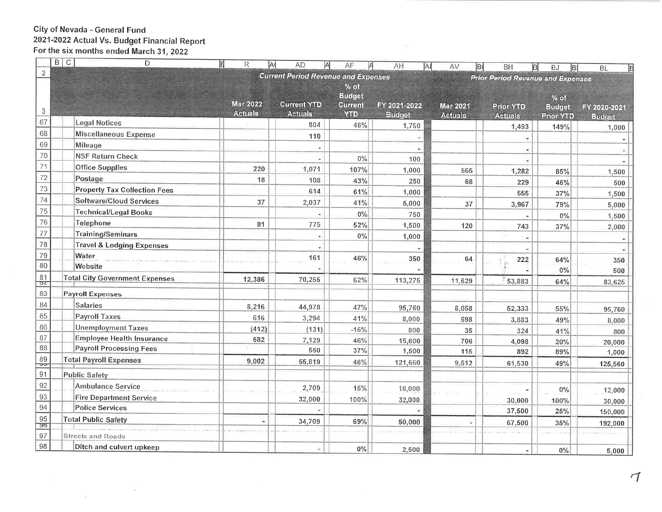# City of Nevada - General Fund<br>2021-2022 Actual Vs. Budget Financial Report<br>For the six months ended March 31, 2022

 $\mathbf{R}^{\mathrm{max}}$  and  $\mathbf{R}^{\mathrm{max}}$ 

|                           | B[C]<br>D<br>E                        | R<br>IA                           | <b>AD</b>                                                                              | AF                           | AH<br>Al      | AV<br>lв        | BH<br> B         | <b>BJ</b><br>B(  | <b>BL</b>         |  |
|---------------------------|---------------------------------------|-----------------------------------|----------------------------------------------------------------------------------------|------------------------------|---------------|-----------------|------------------|------------------|-------------------|--|
| $\overline{\mathbf{c}}$   |                                       |                                   | <b>Current Period Revenue and Expenses</b><br><b>Prior Period Revenue and Expenses</b> |                              |               |                 |                  |                  |                   |  |
|                           |                                       |                                   |                                                                                        | $%$ of                       |               |                 |                  |                  |                   |  |
|                           |                                       |                                   |                                                                                        | <b>Budget</b>                |               |                 |                  | $%$ of           |                   |  |
| $\ensuremath{\mathsf{3}}$ |                                       | <b>Mar 2022</b><br><b>Actuals</b> | <b>Current YTD</b><br><b>Actuals</b>                                                   | <b>Current</b><br><b>YTD</b> | FY 2021-2022  | <b>Mar 2021</b> | <b>Prior YTD</b> | <b>Budget</b>    | FY 2020-2021      |  |
| 67                        | <b>Legal Notices</b>                  |                                   | 804                                                                                    | 46%                          | <b>Budget</b> | <b>Actuals</b>  | <b>Actuals</b>   | <b>Prior YTD</b> | <b>Budget</b>     |  |
| 68                        | <b>Miscellaneous Expense</b>          |                                   | 110                                                                                    |                              | 1,750         |                 | 1,493            | 149%             | 1,000             |  |
| 69                        | <b>Mileage</b>                        |                                   |                                                                                        |                              |               |                 |                  |                  |                   |  |
| 70                        | <b>NSF Return Check</b>               |                                   |                                                                                        | $0\%$                        |               |                 |                  |                  |                   |  |
| 71                        | <b>Office Supplies</b>                | 220                               | 1,071                                                                                  | 107%                         | 100           |                 |                  |                  |                   |  |
| 72                        | Postage                               | 18                                | 108                                                                                    | 43%                          | 1,000         | 565             | 1,282            | 85%              | 1,500             |  |
| 73                        | <b>Property Tax Collection Fees</b>   |                                   | 614                                                                                    | 61%                          | 250           | 68              | 229              | 46%              | 500               |  |
| 74                        | <b>Software/Cloud Services</b>        | 37                                | 2,037                                                                                  |                              | 1,000         |                 | 555              | 37%              | 1,500             |  |
| 75                        | <b>Technical/Legal Books</b>          |                                   |                                                                                        | 41%<br>$0\%$                 | 5,000         | 37              | 3,967            | 79%              | 5,000             |  |
| 76                        | Telephone                             | 81                                | 775                                                                                    | 52%                          | 750           |                 |                  | $0\%$            | 1,500             |  |
| 77                        | Training/Seminars                     |                                   |                                                                                        |                              | 1,500         | 120             | 743              | 37%              | 2,000             |  |
| 78                        | <b>Travel &amp; Lodging Expenses</b>  |                                   |                                                                                        | $0\%$                        | 1,000         |                 |                  |                  |                   |  |
| 79                        | Water                                 |                                   | 161                                                                                    | 46%                          |               |                 |                  |                  |                   |  |
| 80                        | Website                               |                                   |                                                                                        |                              | 350           | 64              | 222              | 64%              | 350               |  |
| 81                        | <b>Total City Government Expenses</b> | 12,386                            | 70,255                                                                                 | 62%                          |               |                 |                  | $0\%$            | 500               |  |
| $\sigma$ z                |                                       |                                   |                                                                                        |                              | 113,275       | 11,629          | 53,883           | 64%              | 83,625            |  |
| 83                        | <b>Payroll Expenses</b>               |                                   |                                                                                        |                              |               |                 |                  |                  |                   |  |
| 84                        | <b>Salaries</b>                       | 8,216                             | 44,978                                                                                 | 47%                          | 95,760        | 8,058           | 52,333           | 55%              | 95,760            |  |
| 85                        | <b>Payroll Taxes</b>                  | 616                               | 3,294                                                                                  | 41%                          | 8,000         | 598             | 3,883            | 49%              | 8,000             |  |
| 86                        | <b>Unemployment Taxes</b>             | (412)                             | (131)                                                                                  | $-16%$                       | 800           | 35              | 324              | 41%              | 800               |  |
| 87                        | <b>Employee Health Insurance</b>      | 582                               | 7,129                                                                                  | 46%                          | 15,600        | 706             | 4,098            | 20%              | 20,000            |  |
| 88                        | <b>Payroll Processing Fees</b>        |                                   | 550                                                                                    | $37\%$                       | 1,500         | 115             | 892              | 89%              | 1,000             |  |
| 89<br>তত                  | <b>Total Payroll Expenses</b>         | 9,002                             | 55,819                                                                                 | 46%                          | 121,660       | 9,512           | 61,530           | 49%              | 125,560           |  |
| 91                        | <b>Public Safety</b>                  |                                   |                                                                                        |                              |               |                 |                  |                  |                   |  |
| 92                        | <b>Ambulance Service</b>              |                                   | 2,709                                                                                  | 15%                          | 18,000        |                 |                  | $0\%$            | 12,000            |  |
| 93                        | <b>Fire Department Service</b>        |                                   | 32,000                                                                                 | 100%                         | 32,000        |                 | 30,000           | 100%             |                   |  |
| 94                        | <b>Police Services</b>                |                                   |                                                                                        |                              |               |                 | 37,500           | 25%              | 30,000<br>150,000 |  |
| 95                        | <b>Total Public Safety</b>            | $\blacksquare$                    | 34,709                                                                                 | 69%                          | 50,000        |                 | 67,500           | 35%              |                   |  |
| 90                        |                                       |                                   |                                                                                        |                              |               |                 |                  |                  | 192,000           |  |
| 97                        | <b>Streets and Roads</b>              |                                   |                                                                                        |                              |               |                 |                  |                  |                   |  |
| 98                        | Ditch and culvert upkeep              |                                   |                                                                                        | $0\%$                        | 2,500         |                 |                  | $0\%$            | 5,000             |  |

 $\sim$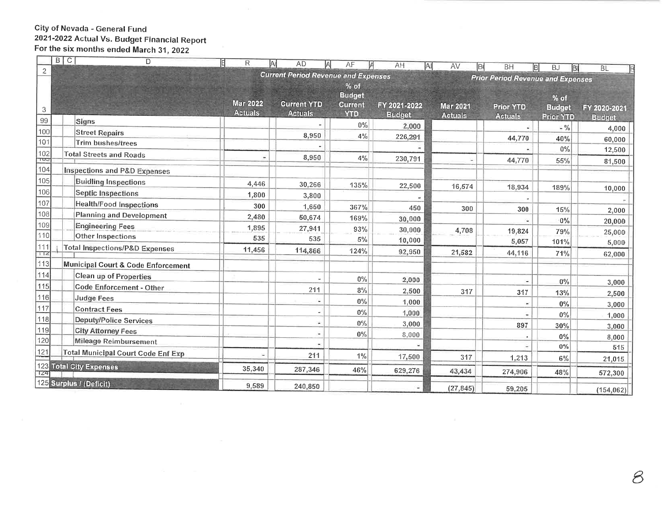## City of Nevada - General Fund 2021-2022 Actual Vs. Budget Financial Report<br>For the six months ended March 31, 2022

| D                                         | 旧<br>R                                                                                                                                                                                                                                                                                                                                                                                                          |                                                                                     |                                                                                                     |                                                                                                                           |                                                                                                           |                                              |                                                                         |                                                                                                                                                                          |
|-------------------------------------------|-----------------------------------------------------------------------------------------------------------------------------------------------------------------------------------------------------------------------------------------------------------------------------------------------------------------------------------------------------------------------------------------------------------------|-------------------------------------------------------------------------------------|-----------------------------------------------------------------------------------------------------|---------------------------------------------------------------------------------------------------------------------------|-----------------------------------------------------------------------------------------------------------|----------------------------------------------|-------------------------------------------------------------------------|--------------------------------------------------------------------------------------------------------------------------------------------------------------------------|
|                                           |                                                                                                                                                                                                                                                                                                                                                                                                                 |                                                                                     |                                                                                                     |                                                                                                                           |                                                                                                           |                                              |                                                                         | <b>BL</b>                                                                                                                                                                |
|                                           |                                                                                                                                                                                                                                                                                                                                                                                                                 |                                                                                     |                                                                                                     |                                                                                                                           |                                                                                                           |                                              |                                                                         |                                                                                                                                                                          |
|                                           |                                                                                                                                                                                                                                                                                                                                                                                                                 |                                                                                     | <b>Budget</b>                                                                                       |                                                                                                                           |                                                                                                           |                                              |                                                                         |                                                                                                                                                                          |
|                                           |                                                                                                                                                                                                                                                                                                                                                                                                                 | <b>Current YTD</b>                                                                  | <b>Current</b>                                                                                      | FY 2021-2022                                                                                                              | <b>Mar 2021</b>                                                                                           | <b>Prior YTD</b>                             |                                                                         | FY 2020-2021                                                                                                                                                             |
|                                           |                                                                                                                                                                                                                                                                                                                                                                                                                 |                                                                                     |                                                                                                     | <b>Budget</b>                                                                                                             | <b>Actuals</b>                                                                                            | <b>Actuals</b>                               | <b>Prior YTD</b>                                                        | <b>Budget</b>                                                                                                                                                            |
|                                           |                                                                                                                                                                                                                                                                                                                                                                                                                 |                                                                                     | $0\%$                                                                                               | 2,000                                                                                                                     |                                                                                                           |                                              | $-$ %                                                                   | 4,000                                                                                                                                                                    |
|                                           |                                                                                                                                                                                                                                                                                                                                                                                                                 | 8,950                                                                               | 4%                                                                                                  | 226,291                                                                                                                   |                                                                                                           | 44,770                                       | 40%                                                                     | 60,000                                                                                                                                                                   |
|                                           |                                                                                                                                                                                                                                                                                                                                                                                                                 |                                                                                     |                                                                                                     |                                                                                                                           |                                                                                                           |                                              | $0\%$                                                                   | 12,500                                                                                                                                                                   |
|                                           |                                                                                                                                                                                                                                                                                                                                                                                                                 | 8,950                                                                               | 4%                                                                                                  | 230,791                                                                                                                   |                                                                                                           |                                              |                                                                         | 81,500                                                                                                                                                                   |
| Inspections and P&D Expenses              |                                                                                                                                                                                                                                                                                                                                                                                                                 |                                                                                     |                                                                                                     |                                                                                                                           |                                                                                                           |                                              |                                                                         |                                                                                                                                                                          |
| <b>Buidling Inspections</b>               |                                                                                                                                                                                                                                                                                                                                                                                                                 |                                                                                     |                                                                                                     |                                                                                                                           |                                                                                                           |                                              |                                                                         |                                                                                                                                                                          |
| <b>Septic Inspections</b>                 |                                                                                                                                                                                                                                                                                                                                                                                                                 |                                                                                     |                                                                                                     |                                                                                                                           |                                                                                                           |                                              |                                                                         | 10,000                                                                                                                                                                   |
| <b>Health/Food Inspections</b>            |                                                                                                                                                                                                                                                                                                                                                                                                                 |                                                                                     |                                                                                                     |                                                                                                                           |                                                                                                           |                                              |                                                                         |                                                                                                                                                                          |
| <b>Planning and Development</b>           |                                                                                                                                                                                                                                                                                                                                                                                                                 |                                                                                     |                                                                                                     |                                                                                                                           |                                                                                                           |                                              |                                                                         | 2,000                                                                                                                                                                    |
| <b>Engineering Fees</b>                   |                                                                                                                                                                                                                                                                                                                                                                                                                 |                                                                                     |                                                                                                     |                                                                                                                           |                                                                                                           |                                              |                                                                         | 20,000                                                                                                                                                                   |
|                                           |                                                                                                                                                                                                                                                                                                                                                                                                                 |                                                                                     |                                                                                                     |                                                                                                                           |                                                                                                           |                                              |                                                                         | 25,000                                                                                                                                                                   |
| <b>Total Inspections/P&amp;D Expenses</b> | 11,456                                                                                                                                                                                                                                                                                                                                                                                                          |                                                                                     |                                                                                                     |                                                                                                                           |                                                                                                           |                                              |                                                                         | 5,000                                                                                                                                                                    |
|                                           |                                                                                                                                                                                                                                                                                                                                                                                                                 |                                                                                     |                                                                                                     |                                                                                                                           |                                                                                                           |                                              |                                                                         | 62,000                                                                                                                                                                   |
|                                           |                                                                                                                                                                                                                                                                                                                                                                                                                 |                                                                                     |                                                                                                     |                                                                                                                           |                                                                                                           |                                              |                                                                         |                                                                                                                                                                          |
|                                           |                                                                                                                                                                                                                                                                                                                                                                                                                 |                                                                                     |                                                                                                     | 2,000                                                                                                                     |                                                                                                           |                                              | 0%                                                                      | 3,000                                                                                                                                                                    |
|                                           |                                                                                                                                                                                                                                                                                                                                                                                                                 | 211                                                                                 | $8\%$                                                                                               | 2,500                                                                                                                     | 317                                                                                                       | 317                                          | 13%                                                                     | 2,500                                                                                                                                                                    |
|                                           |                                                                                                                                                                                                                                                                                                                                                                                                                 |                                                                                     | $0\%$                                                                                               | 1,000                                                                                                                     |                                                                                                           |                                              | $0\%$                                                                   | 3,000                                                                                                                                                                    |
|                                           |                                                                                                                                                                                                                                                                                                                                                                                                                 |                                                                                     | $0\%$                                                                                               | 1,000                                                                                                                     |                                                                                                           |                                              |                                                                         | 1,000                                                                                                                                                                    |
|                                           |                                                                                                                                                                                                                                                                                                                                                                                                                 |                                                                                     | $0\%$                                                                                               | 3,000                                                                                                                     |                                                                                                           | 897                                          |                                                                         | 3,000                                                                                                                                                                    |
|                                           |                                                                                                                                                                                                                                                                                                                                                                                                                 | ۰                                                                                   | $0\%$                                                                                               | 8,000                                                                                                                     |                                                                                                           |                                              |                                                                         | 8,000                                                                                                                                                                    |
|                                           |                                                                                                                                                                                                                                                                                                                                                                                                                 |                                                                                     |                                                                                                     |                                                                                                                           |                                                                                                           |                                              |                                                                         | 515                                                                                                                                                                      |
|                                           | ۷                                                                                                                                                                                                                                                                                                                                                                                                               | 211                                                                                 | 1%                                                                                                  | 17,500                                                                                                                    | 317                                                                                                       | 1,213                                        | $6\%$                                                                   | 21,015                                                                                                                                                                   |
|                                           | 35,340                                                                                                                                                                                                                                                                                                                                                                                                          | 287,346                                                                             | 46%                                                                                                 | 629,276                                                                                                                   | 43,434                                                                                                    | 274,906                                      | 48%                                                                     | 572,300                                                                                                                                                                  |
|                                           |                                                                                                                                                                                                                                                                                                                                                                                                                 |                                                                                     |                                                                                                     |                                                                                                                           |                                                                                                           |                                              |                                                                         |                                                                                                                                                                          |
|                                           | $D$   U<br>Signs<br><b>Street Repairs</b><br>Trim bushes/trees<br><b>Total Streets and Roads</b><br>Other Inspections<br>Municipal Court & Code Enforcement<br>Clean up of Properties<br>Code Enforcement - Other<br>Judge Fees<br><b>Contract Fees</b><br>Deputy/Police Services<br><b>City Attorney Fees</b><br>Mileage Reimbursement<br><b>Total Municipal Court Code Enf Exp</b><br>123 Total City Expenses | <b>Mar 2022</b><br><b>Actuals</b><br>4,446<br>1,800<br>300<br>2,480<br>1,895<br>535 | IA<br><b>AD</b><br><b>Actuals</b><br>30,266<br>3,800<br>1,650<br>50,674<br>27,941<br>535<br>114,866 | A<br>AF<br>$%$ of<br><b>YTD</b><br>135%<br>367%<br>169%<br>93%<br>5%<br>124%<br>$0\%$<br>125 Surplus / (Deficit)<br>9,589 | AH<br><b>Current Period Revenue and Expenses</b><br>22,500<br>450<br>30,000<br>30,000<br>10,000<br>92,950 | AI<br>AV<br>16,574<br>300<br>4,708<br>21,582 | lв<br><b>BH</b><br>44,770<br>18,934<br>300<br>19,824<br>5,057<br>44,116 | B<br><b>BJ</b><br> B <br><b>Prior Period Revenue and Expenses</b><br>% of<br><b>Budget</b><br>55%<br>189%<br>15%<br>0%<br>79%<br>101%<br>71%<br>$0\%$<br>30%<br>0%<br>0% |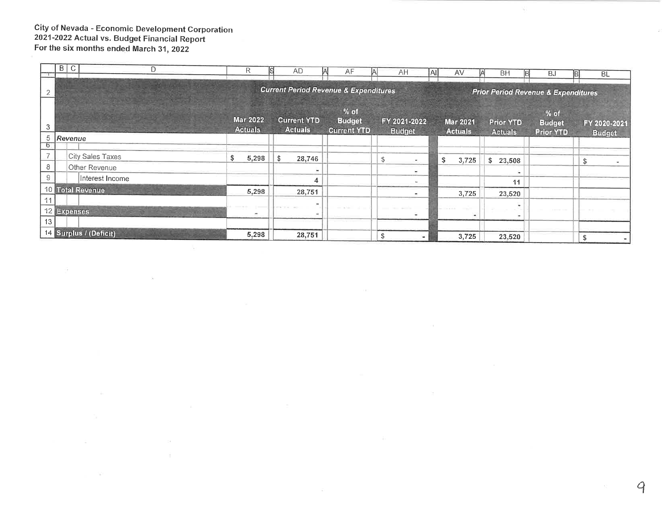#### **City of Nevada - Economic Development Corporation** 2021-2022 Actual vs. Budget Financial Report For the six months ended March 31, 2022

 $\mathcal{L}$ 

 $\mathcal{L}_{\mathcal{A}}$  .

 $\mathcal{N}^{\mathcal{N}}_{\mathbf{M}}$ 

|               | B | $\mathcal{C}$ | D                      | R                                 | <b>AD</b>                            | AF                                               | AH<br>IA.                                      | İAI<br>AV                         | <b>BH</b>                          | <b>BJ</b>                                 | <b>BL</b>                     |  |  |
|---------------|---|---------------|------------------------|-----------------------------------|--------------------------------------|--------------------------------------------------|------------------------------------------------|-----------------------------------|------------------------------------|-------------------------------------------|-------------------------------|--|--|
|               |   |               |                        |                                   |                                      | <b>Current Period Revenue &amp; Expenditures</b> | <b>Prior Period Revenue &amp; Expenditures</b> |                                   |                                    |                                           |                               |  |  |
| 3             |   |               |                        | <b>Mar 2022</b><br><b>Actuals</b> | <b>Current YTD</b><br><b>Actuals</b> | $%$ of<br><b>Budget</b><br><b>Current YTD</b>    | FY 2021-2022<br><b>Budget</b>                  | <b>Mar 2021</b><br><b>Actuals</b> | <b>Prior YTD</b><br><b>Actuals</b> | % of<br><b>Budget</b><br><b>Prior YTD</b> | FY 2020-2021<br><b>Budget</b> |  |  |
| 5<br>$\sigma$ |   | Revenue       |                        |                                   |                                      |                                                  |                                                |                                   |                                    |                                           |                               |  |  |
|               |   |               | City Sales Taxes       | \$<br>5,298                       | \$<br>28,746                         |                                                  | S                                              | \$<br>3,725                       | \$<br>23,508                       |                                           |                               |  |  |
| 8             |   |               | Other Revenue          |                                   |                                      |                                                  |                                                |                                   | ÷                                  |                                           |                               |  |  |
| 9             |   |               | Interest Income        |                                   |                                      |                                                  | $\sim$                                         |                                   | 11                                 |                                           |                               |  |  |
|               |   |               | 10 Total Revenue       | 5,298                             | 28,751                               |                                                  | $\tilde{\phantom{a}}$                          | 3,725                             | 23,520                             |                                           |                               |  |  |
| 11            |   | 12 Expenses   |                        |                                   |                                      |                                                  |                                                |                                   |                                    |                                           |                               |  |  |
| 13            |   |               |                        | $\frac{1}{2}$                     |                                      |                                                  | ٠                                              | ٠                                 | <b>100</b>                         |                                           |                               |  |  |
|               |   |               | 14 Surplus / (Deficit) | 5,298                             | 28,751                               |                                                  |                                                | 3,725                             | 23,520                             |                                           |                               |  |  |

 $\sim$ 

 $\mathcal{N}_{\mathbf{p}}$